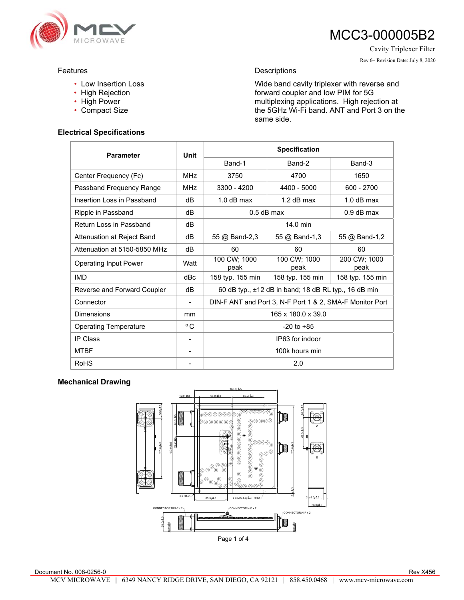

Cavity Triplexer Filter

#### Rev 6– Revision Date: July 8, 2020

### Features

- Low Insertion Loss
- High Rejection
- High Power
- Compact Size

### **Electrical Specifications**

## Descriptions

Wide band cavity triplexer with reverse and forward coupler and low PIM for 5G multiplexing applications. High rejection at the 5GHz Wi-Fi band. ANT and Port 3 on the same side.

| <b>Parameter</b>             | Unit         | <b>Specification</b>                                     |                      |                      |
|------------------------------|--------------|----------------------------------------------------------|----------------------|----------------------|
|                              |              | Band-1                                                   | Band-2               | Band-3               |
| Center Frequency (Fc)        | <b>MHz</b>   | 3750                                                     | 4700                 | 1650                 |
| Passband Frequency Range     | <b>MHz</b>   | 3300 - 4200                                              | 4400 - 5000          | $600 - 2700$         |
| Insertion Loss in Passband   | dB           | $1.0$ dB max                                             | $1.2$ dB max         | $1.0$ dB max         |
| Ripple in Passband           | dB           | $0.5$ dB max                                             |                      | $0.9$ dB max         |
| Return Loss in Passband      | dB           | 14.0 min                                                 |                      |                      |
| Attenuation at Reject Band   | dB           | 55 @ Band-2,3                                            | 55 @ Band-1,3        | 55 @ Band-1,2        |
| Attenuation at 5150-5850 MHz | dB           | 60                                                       | 60                   | 60                   |
| <b>Operating Input Power</b> | Watt         | 100 CW; 1000<br>peak                                     | 100 CW; 1000<br>peak | 200 CW; 1000<br>peak |
| <b>IMD</b>                   | dBc          | 158 typ. 155 min                                         | 158 typ. 155 min     | 158 typ. 155 min     |
| Reverse and Forward Coupler  | dB           | 60 dB typ., ±12 dB in band; 18 dB RL typ., 16 dB min     |                      |                      |
| Connector                    |              | DIN-F ANT and Port 3, N-F Port 1 & 2, SMA-F Monitor Port |                      |                      |
| <b>Dimensions</b>            | mm           | 165 x 180.0 x 39.0                                       |                      |                      |
| <b>Operating Temperature</b> | $^{\circ}$ C | $-20$ to $+85$                                           |                      |                      |
| <b>IP Class</b>              |              | IP63 for indoor                                          |                      |                      |
| <b>MTBF</b>                  |              | 100k hours min                                           |                      |                      |
| <b>RoHS</b>                  |              | 2.0                                                      |                      |                      |

### **Mechanical Drawing**

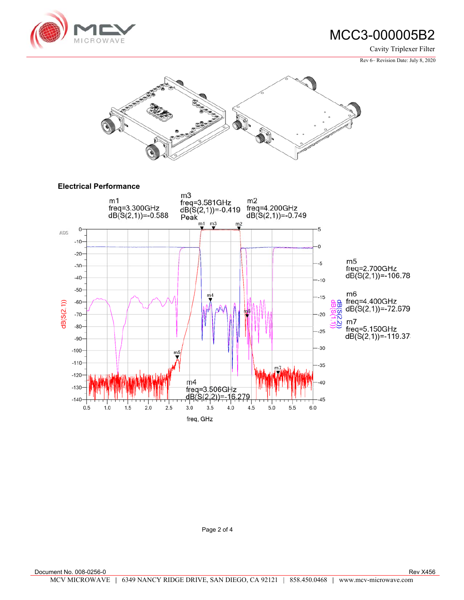

Cavity Triplexer Filter

Rev 6– Revision Date: July 8, 2020



Page 2 of 4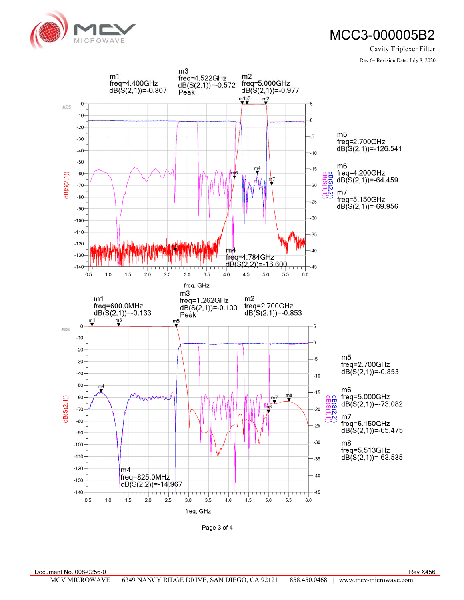

Cavity Triplexer Filter

Rev 6– Revision Date: July 8, 2020



Page 3 of 4